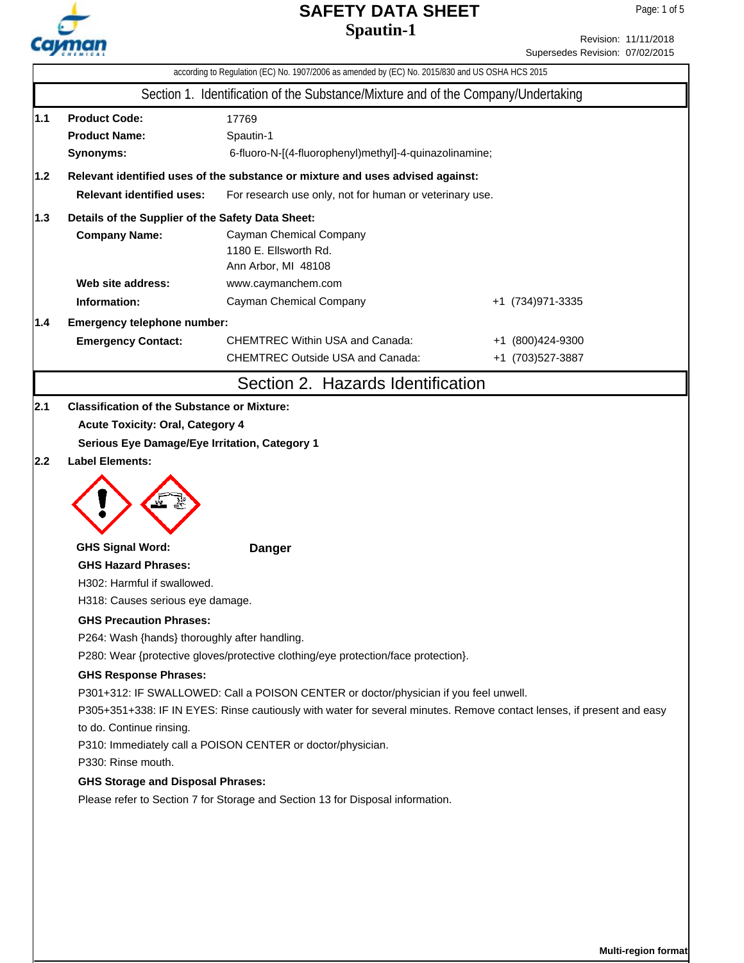

Revision: 11/11/2018 Supersedes Revision: 07/02/2015

|                                                                                   | according to Regulation (EC) No. 1907/2006 as amended by (EC) No. 2015/830 and US OSHA HCS 2015 |                                                                                                                       |                   |  |  |  |  |  |
|-----------------------------------------------------------------------------------|-------------------------------------------------------------------------------------------------|-----------------------------------------------------------------------------------------------------------------------|-------------------|--|--|--|--|--|
|                                                                                   |                                                                                                 | Section 1. Identification of the Substance/Mixture and of the Company/Undertaking                                     |                   |  |  |  |  |  |
| 1.1                                                                               | <b>Product Code:</b><br>17769<br><b>Product Name:</b><br>Spautin-1                              |                                                                                                                       |                   |  |  |  |  |  |
|                                                                                   | Synonyms:                                                                                       | 6-fluoro-N-[(4-fluorophenyl)methyl]-4-quinazolinamine;                                                                |                   |  |  |  |  |  |
| 1.2                                                                               | Relevant identified uses of the substance or mixture and uses advised against:                  |                                                                                                                       |                   |  |  |  |  |  |
|                                                                                   | <b>Relevant identified uses:</b><br>For research use only, not for human or veterinary use.     |                                                                                                                       |                   |  |  |  |  |  |
| 1.3                                                                               | Details of the Supplier of the Safety Data Sheet:                                               |                                                                                                                       |                   |  |  |  |  |  |
|                                                                                   | <b>Company Name:</b>                                                                            | Cayman Chemical Company<br>1180 E. Ellsworth Rd.<br>Ann Arbor, MI 48108                                               |                   |  |  |  |  |  |
|                                                                                   | Web site address:                                                                               | www.caymanchem.com                                                                                                    |                   |  |  |  |  |  |
|                                                                                   | Information:                                                                                    | Cayman Chemical Company                                                                                               | +1 (734) 971-3335 |  |  |  |  |  |
| 1.4                                                                               | Emergency telephone number:                                                                     |                                                                                                                       |                   |  |  |  |  |  |
|                                                                                   | <b>Emergency Contact:</b>                                                                       | <b>CHEMTREC Within USA and Canada:</b>                                                                                | +1 (800)424-9300  |  |  |  |  |  |
|                                                                                   |                                                                                                 | <b>CHEMTREC Outside USA and Canada:</b>                                                                               | +1 (703)527-3887  |  |  |  |  |  |
|                                                                                   |                                                                                                 | Section 2. Hazards Identification                                                                                     |                   |  |  |  |  |  |
| 2.1                                                                               | <b>Classification of the Substance or Mixture:</b>                                              |                                                                                                                       |                   |  |  |  |  |  |
|                                                                                   | <b>Acute Toxicity: Oral, Category 4</b>                                                         |                                                                                                                       |                   |  |  |  |  |  |
|                                                                                   | Serious Eye Damage/Eye Irritation, Category 1                                                   |                                                                                                                       |                   |  |  |  |  |  |
| 2.2                                                                               | <b>Label Elements:</b>                                                                          |                                                                                                                       |                   |  |  |  |  |  |
|                                                                                   | <b>GHS Signal Word:</b>                                                                         | <b>Danger</b>                                                                                                         |                   |  |  |  |  |  |
|                                                                                   | <b>GHS Hazard Phrases:</b>                                                                      |                                                                                                                       |                   |  |  |  |  |  |
|                                                                                   | H302: Harmful if swallowed.                                                                     |                                                                                                                       |                   |  |  |  |  |  |
|                                                                                   | H318: Causes serious eye damage.                                                                |                                                                                                                       |                   |  |  |  |  |  |
|                                                                                   | <b>GHS Precaution Phrases:</b>                                                                  |                                                                                                                       |                   |  |  |  |  |  |
| P264: Wash {hands} thoroughly after handling.                                     |                                                                                                 |                                                                                                                       |                   |  |  |  |  |  |
|                                                                                   |                                                                                                 | P280: Wear {protective gloves/protective clothing/eye protection/face protection}.                                    |                   |  |  |  |  |  |
|                                                                                   | <b>GHS Response Phrases:</b>                                                                    |                                                                                                                       |                   |  |  |  |  |  |
|                                                                                   |                                                                                                 | P301+312: IF SWALLOWED: Call a POISON CENTER or doctor/physician if you feel unwell.                                  |                   |  |  |  |  |  |
|                                                                                   | to do. Continue rinsing.                                                                        | P305+351+338: IF IN EYES: Rinse cautiously with water for several minutes. Remove contact lenses, if present and easy |                   |  |  |  |  |  |
|                                                                                   |                                                                                                 |                                                                                                                       |                   |  |  |  |  |  |
| P310: Immediately call a POISON CENTER or doctor/physician.<br>P330: Rinse mouth. |                                                                                                 |                                                                                                                       |                   |  |  |  |  |  |
|                                                                                   | <b>GHS Storage and Disposal Phrases:</b>                                                        |                                                                                                                       |                   |  |  |  |  |  |
|                                                                                   |                                                                                                 | Please refer to Section 7 for Storage and Section 13 for Disposal information.                                        |                   |  |  |  |  |  |
|                                                                                   |                                                                                                 |                                                                                                                       |                   |  |  |  |  |  |
|                                                                                   |                                                                                                 |                                                                                                                       |                   |  |  |  |  |  |
|                                                                                   |                                                                                                 |                                                                                                                       |                   |  |  |  |  |  |
|                                                                                   |                                                                                                 |                                                                                                                       |                   |  |  |  |  |  |
|                                                                                   |                                                                                                 |                                                                                                                       |                   |  |  |  |  |  |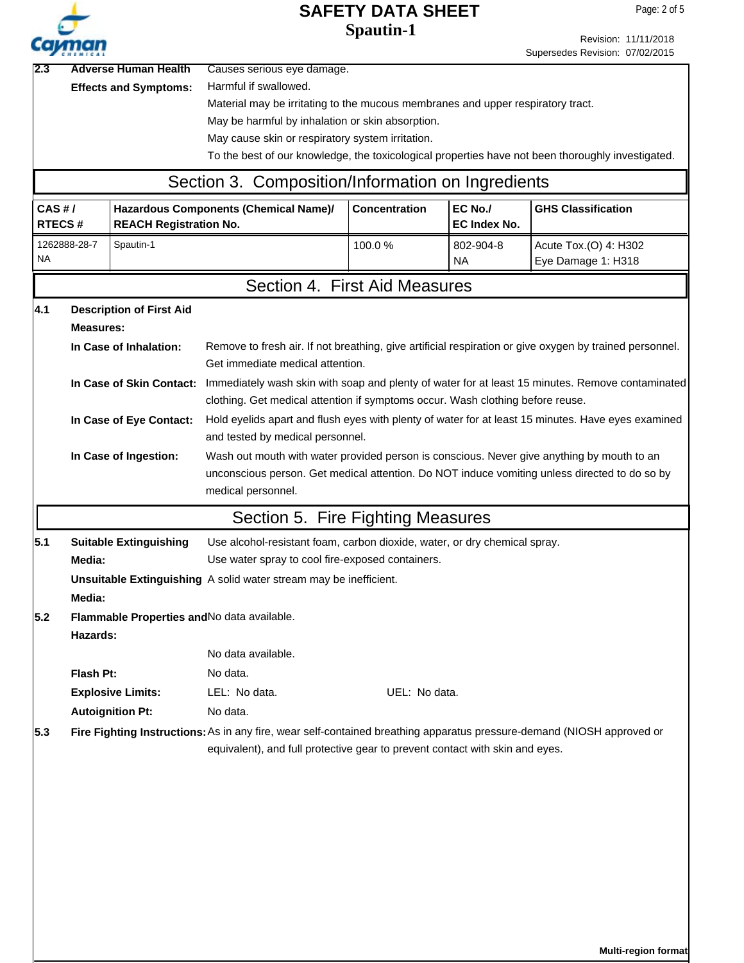|                                                                                                                                                                                                                      |                  |                                 |                                                                                                                           | <b>SAFETY DATA SHEET</b>                                                                           |                     |                                 | Page: 2 of 5         |  |  |
|----------------------------------------------------------------------------------------------------------------------------------------------------------------------------------------------------------------------|------------------|---------------------------------|---------------------------------------------------------------------------------------------------------------------------|----------------------------------------------------------------------------------------------------|---------------------|---------------------------------|----------------------|--|--|
|                                                                                                                                                                                                                      |                  |                                 |                                                                                                                           | <b>Spautin-1</b>                                                                                   |                     |                                 | Revision: 11/11/2018 |  |  |
|                                                                                                                                                                                                                      |                  |                                 |                                                                                                                           |                                                                                                    |                     | Supersedes Revision: 07/02/2015 |                      |  |  |
|                                                                                                                                                                                                                      |                  | <b>Adverse Human Health</b>     | Causes serious eye damage.                                                                                                |                                                                                                    |                     |                                 |                      |  |  |
|                                                                                                                                                                                                                      |                  | <b>Effects and Symptoms:</b>    | Harmful if swallowed.                                                                                                     |                                                                                                    |                     |                                 |                      |  |  |
|                                                                                                                                                                                                                      |                  |                                 | Material may be irritating to the mucous membranes and upper respiratory tract.                                           |                                                                                                    |                     |                                 |                      |  |  |
|                                                                                                                                                                                                                      |                  |                                 | May be harmful by inhalation or skin absorption.<br>May cause skin or respiratory system irritation.                      |                                                                                                    |                     |                                 |                      |  |  |
|                                                                                                                                                                                                                      |                  |                                 | To the best of our knowledge, the toxicological properties have not been thoroughly investigated.                         |                                                                                                    |                     |                                 |                      |  |  |
|                                                                                                                                                                                                                      |                  |                                 | Section 3. Composition/Information on Ingredients                                                                         |                                                                                                    |                     |                                 |                      |  |  |
| CAS H/                                                                                                                                                                                                               |                  |                                 | Hazardous Components (Chemical Name)/                                                                                     | <b>Concentration</b>                                                                               | EC No./             | <b>GHS Classification</b>       |                      |  |  |
| <b>RTECS#</b>                                                                                                                                                                                                        |                  | <b>REACH Registration No.</b>   |                                                                                                                           |                                                                                                    | <b>EC Index No.</b> |                                 |                      |  |  |
|                                                                                                                                                                                                                      | 1262888-28-7     | Spautin-1                       |                                                                                                                           | 100.0%                                                                                             | 802-904-8           | Acute Tox.(O) 4: H302           |                      |  |  |
| <b>NA</b>                                                                                                                                                                                                            |                  |                                 |                                                                                                                           |                                                                                                    | <b>NA</b>           | Eye Damage 1: H318              |                      |  |  |
|                                                                                                                                                                                                                      |                  |                                 | Section 4. First Aid Measures                                                                                             |                                                                                                    |                     |                                 |                      |  |  |
| 4.1                                                                                                                                                                                                                  |                  | <b>Description of First Aid</b> |                                                                                                                           |                                                                                                    |                     |                                 |                      |  |  |
|                                                                                                                                                                                                                      | <b>Measures:</b> |                                 |                                                                                                                           |                                                                                                    |                     |                                 |                      |  |  |
|                                                                                                                                                                                                                      |                  | In Case of Inhalation:          | Remove to fresh air. If not breathing, give artificial respiration or give oxygen by trained personnel.                   |                                                                                                    |                     |                                 |                      |  |  |
|                                                                                                                                                                                                                      |                  |                                 | Get immediate medical attention.                                                                                          |                                                                                                    |                     |                                 |                      |  |  |
|                                                                                                                                                                                                                      |                  |                                 | In Case of Skin Contact: Immediately wash skin with soap and plenty of water for at least 15 minutes. Remove contaminated |                                                                                                    |                     |                                 |                      |  |  |
|                                                                                                                                                                                                                      |                  |                                 | clothing. Get medical attention if symptoms occur. Wash clothing before reuse.                                            |                                                                                                    |                     |                                 |                      |  |  |
|                                                                                                                                                                                                                      |                  | In Case of Eye Contact:         |                                                                                                                           | Hold eyelids apart and flush eyes with plenty of water for at least 15 minutes. Have eyes examined |                     |                                 |                      |  |  |
|                                                                                                                                                                                                                      |                  |                                 | and tested by medical personnel.                                                                                          |                                                                                                    |                     |                                 |                      |  |  |
| In Case of Ingestion:<br>Wash out mouth with water provided person is conscious. Never give anything by mouth to an<br>unconscious person. Get medical attention. Do NOT induce vomiting unless directed to do so by |                  |                                 |                                                                                                                           |                                                                                                    |                     |                                 |                      |  |  |
|                                                                                                                                                                                                                      |                  |                                 | medical personnel.                                                                                                        |                                                                                                    |                     |                                 |                      |  |  |
|                                                                                                                                                                                                                      |                  |                                 | Section 5. Fire Fighting Measures                                                                                         |                                                                                                    |                     |                                 |                      |  |  |
| 5.1                                                                                                                                                                                                                  |                  | <b>Suitable Extinguishing</b>   | Use alcohol-resistant foam, carbon dioxide, water, or dry chemical spray.                                                 |                                                                                                    |                     |                                 |                      |  |  |
|                                                                                                                                                                                                                      | Media:           |                                 | Use water spray to cool fire-exposed containers.                                                                          |                                                                                                    |                     |                                 |                      |  |  |
|                                                                                                                                                                                                                      |                  |                                 | Unsuitable Extinguishing A solid water stream may be inefficient.                                                         |                                                                                                    |                     |                                 |                      |  |  |
|                                                                                                                                                                                                                      | Media:           |                                 |                                                                                                                           |                                                                                                    |                     |                                 |                      |  |  |
| 5.2                                                                                                                                                                                                                  |                  |                                 | Flammable Properties and No data available.                                                                               |                                                                                                    |                     |                                 |                      |  |  |
|                                                                                                                                                                                                                      | Hazards:         |                                 |                                                                                                                           |                                                                                                    |                     |                                 |                      |  |  |
|                                                                                                                                                                                                                      |                  |                                 | No data available.                                                                                                        |                                                                                                    |                     |                                 |                      |  |  |
|                                                                                                                                                                                                                      | Flash Pt:        |                                 | No data.                                                                                                                  |                                                                                                    |                     |                                 |                      |  |  |
|                                                                                                                                                                                                                      |                  | <b>Explosive Limits:</b>        | LEL: No data.                                                                                                             | UEL: No data.                                                                                      |                     |                                 |                      |  |  |
|                                                                                                                                                                                                                      |                  | <b>Autoignition Pt:</b>         | No data.                                                                                                                  |                                                                                                    |                     |                                 |                      |  |  |
| 5.3                                                                                                                                                                                                                  |                  |                                 | Fire Fighting Instructions: As in any fire, wear self-contained breathing apparatus pressure-demand (NIOSH approved or    |                                                                                                    |                     |                                 |                      |  |  |
|                                                                                                                                                                                                                      |                  |                                 | equivalent), and full protective gear to prevent contact with skin and eyes.                                              |                                                                                                    |                     |                                 |                      |  |  |
|                                                                                                                                                                                                                      |                  |                                 |                                                                                                                           |                                                                                                    |                     |                                 |                      |  |  |
|                                                                                                                                                                                                                      |                  |                                 |                                                                                                                           |                                                                                                    |                     |                                 |                      |  |  |
|                                                                                                                                                                                                                      |                  |                                 |                                                                                                                           |                                                                                                    |                     |                                 |                      |  |  |
|                                                                                                                                                                                                                      |                  |                                 |                                                                                                                           |                                                                                                    |                     |                                 |                      |  |  |
|                                                                                                                                                                                                                      |                  |                                 |                                                                                                                           |                                                                                                    |                     |                                 |                      |  |  |
|                                                                                                                                                                                                                      |                  |                                 |                                                                                                                           |                                                                                                    |                     |                                 |                      |  |  |
|                                                                                                                                                                                                                      |                  |                                 |                                                                                                                           |                                                                                                    |                     |                                 |                      |  |  |
|                                                                                                                                                                                                                      |                  |                                 |                                                                                                                           |                                                                                                    |                     |                                 |                      |  |  |
|                                                                                                                                                                                                                      |                  |                                 |                                                                                                                           |                                                                                                    |                     |                                 |                      |  |  |

**Multi-region format**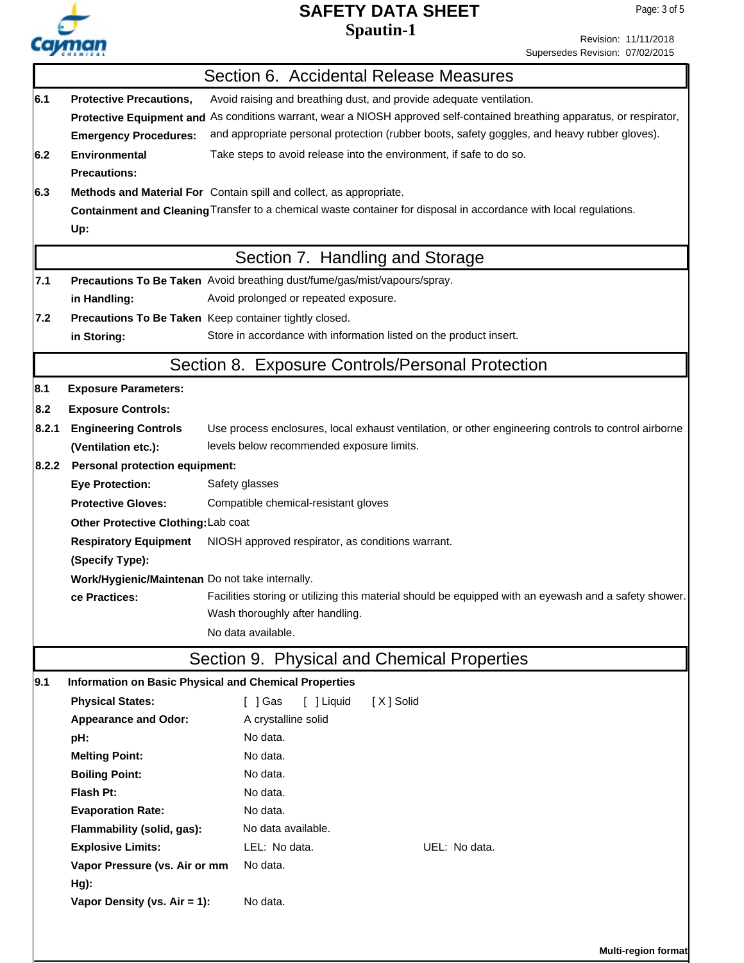

Revision: 11/11/2018 Supersedes Revision: 07/02/2015

|       |                                                                                                                                                                                                  | Section 6. Accidental Release Measures                                                                                                                                                                                                                                                          |  |  |  |  |  |  |
|-------|--------------------------------------------------------------------------------------------------------------------------------------------------------------------------------------------------|-------------------------------------------------------------------------------------------------------------------------------------------------------------------------------------------------------------------------------------------------------------------------------------------------|--|--|--|--|--|--|
| 6.1   | <b>Protective Precautions,</b><br><b>Emergency Procedures:</b>                                                                                                                                   | Avoid raising and breathing dust, and provide adequate ventilation.<br>Protective Equipment and As conditions warrant, wear a NIOSH approved self-contained breathing apparatus, or respirator,<br>and appropriate personal protection (rubber boots, safety goggles, and heavy rubber gloves). |  |  |  |  |  |  |
| 6.2   | <b>Environmental</b><br><b>Precautions:</b>                                                                                                                                                      | Take steps to avoid release into the environment, if safe to do so.                                                                                                                                                                                                                             |  |  |  |  |  |  |
| 6.3   | Methods and Material For Contain spill and collect, as appropriate.<br>Containment and Cleaning Transfer to a chemical waste container for disposal in accordance with local regulations.<br>Up: |                                                                                                                                                                                                                                                                                                 |  |  |  |  |  |  |
|       |                                                                                                                                                                                                  | Section 7. Handling and Storage                                                                                                                                                                                                                                                                 |  |  |  |  |  |  |
| 7.1   | Precautions To Be Taken Avoid breathing dust/fume/gas/mist/vapours/spray.                                                                                                                        |                                                                                                                                                                                                                                                                                                 |  |  |  |  |  |  |
|       | Avoid prolonged or repeated exposure.<br>in Handling:                                                                                                                                            |                                                                                                                                                                                                                                                                                                 |  |  |  |  |  |  |
| 7.2   |                                                                                                                                                                                                  | Precautions To Be Taken Keep container tightly closed.                                                                                                                                                                                                                                          |  |  |  |  |  |  |
|       | Store in accordance with information listed on the product insert.<br>in Storing:                                                                                                                |                                                                                                                                                                                                                                                                                                 |  |  |  |  |  |  |
|       |                                                                                                                                                                                                  | Section 8. Exposure Controls/Personal Protection                                                                                                                                                                                                                                                |  |  |  |  |  |  |
| 8.1   | <b>Exposure Parameters:</b>                                                                                                                                                                      |                                                                                                                                                                                                                                                                                                 |  |  |  |  |  |  |
| 8.2   | <b>Exposure Controls:</b>                                                                                                                                                                        |                                                                                                                                                                                                                                                                                                 |  |  |  |  |  |  |
| 8.2.1 | <b>Engineering Controls</b>                                                                                                                                                                      | Use process enclosures, local exhaust ventilation, or other engineering controls to control airborne                                                                                                                                                                                            |  |  |  |  |  |  |
|       | (Ventilation etc.):                                                                                                                                                                              | levels below recommended exposure limits.                                                                                                                                                                                                                                                       |  |  |  |  |  |  |
| 8.2.2 | <b>Personal protection equipment:</b>                                                                                                                                                            |                                                                                                                                                                                                                                                                                                 |  |  |  |  |  |  |
|       | <b>Eye Protection:</b>                                                                                                                                                                           | Safety glasses                                                                                                                                                                                                                                                                                  |  |  |  |  |  |  |
|       | <b>Protective Gloves:</b><br>Compatible chemical-resistant gloves                                                                                                                                |                                                                                                                                                                                                                                                                                                 |  |  |  |  |  |  |
|       | Other Protective Clothing: Lab coat                                                                                                                                                              |                                                                                                                                                                                                                                                                                                 |  |  |  |  |  |  |
|       | <b>Respiratory Equipment</b>                                                                                                                                                                     | NIOSH approved respirator, as conditions warrant.                                                                                                                                                                                                                                               |  |  |  |  |  |  |
|       | (Specify Type):                                                                                                                                                                                  |                                                                                                                                                                                                                                                                                                 |  |  |  |  |  |  |
|       | Work/Hygienic/Maintenan Do not take internally.                                                                                                                                                  |                                                                                                                                                                                                                                                                                                 |  |  |  |  |  |  |
|       | Facilities storing or utilizing this material should be equipped with an eyewash and a safety shower.<br>ce Practices:<br>Wash thoroughly after handling.<br>No data available.                  |                                                                                                                                                                                                                                                                                                 |  |  |  |  |  |  |
|       |                                                                                                                                                                                                  | Section 9. Physical and Chemical Properties                                                                                                                                                                                                                                                     |  |  |  |  |  |  |
|       |                                                                                                                                                                                                  |                                                                                                                                                                                                                                                                                                 |  |  |  |  |  |  |
| 9.1   | <b>Physical States:</b>                                                                                                                                                                          | <b>Information on Basic Physical and Chemical Properties</b><br>$\lceil$ $\rfloor$ Gas<br>[X] Solid                                                                                                                                                                                             |  |  |  |  |  |  |
|       | <b>Appearance and Odor:</b>                                                                                                                                                                      | [ ] Liquid<br>A crystalline solid                                                                                                                                                                                                                                                               |  |  |  |  |  |  |
|       | pH:                                                                                                                                                                                              | No data.                                                                                                                                                                                                                                                                                        |  |  |  |  |  |  |
|       | <b>Melting Point:</b>                                                                                                                                                                            | No data.                                                                                                                                                                                                                                                                                        |  |  |  |  |  |  |
|       | <b>Boiling Point:</b>                                                                                                                                                                            | No data.                                                                                                                                                                                                                                                                                        |  |  |  |  |  |  |
|       | Flash Pt:                                                                                                                                                                                        | No data.                                                                                                                                                                                                                                                                                        |  |  |  |  |  |  |
|       | <b>Evaporation Rate:</b>                                                                                                                                                                         | No data.                                                                                                                                                                                                                                                                                        |  |  |  |  |  |  |
|       | Flammability (solid, gas):                                                                                                                                                                       | No data available.                                                                                                                                                                                                                                                                              |  |  |  |  |  |  |
|       | <b>Explosive Limits:</b>                                                                                                                                                                         | LEL: No data.<br>UEL: No data.                                                                                                                                                                                                                                                                  |  |  |  |  |  |  |
|       | Vapor Pressure (vs. Air or mm                                                                                                                                                                    | No data.                                                                                                                                                                                                                                                                                        |  |  |  |  |  |  |
| Hg):  |                                                                                                                                                                                                  |                                                                                                                                                                                                                                                                                                 |  |  |  |  |  |  |
|       | Vapor Density (vs. Air = 1):                                                                                                                                                                     | No data.                                                                                                                                                                                                                                                                                        |  |  |  |  |  |  |
|       |                                                                                                                                                                                                  |                                                                                                                                                                                                                                                                                                 |  |  |  |  |  |  |
|       |                                                                                                                                                                                                  | Multi-region format                                                                                                                                                                                                                                                                             |  |  |  |  |  |  |
|       |                                                                                                                                                                                                  |                                                                                                                                                                                                                                                                                                 |  |  |  |  |  |  |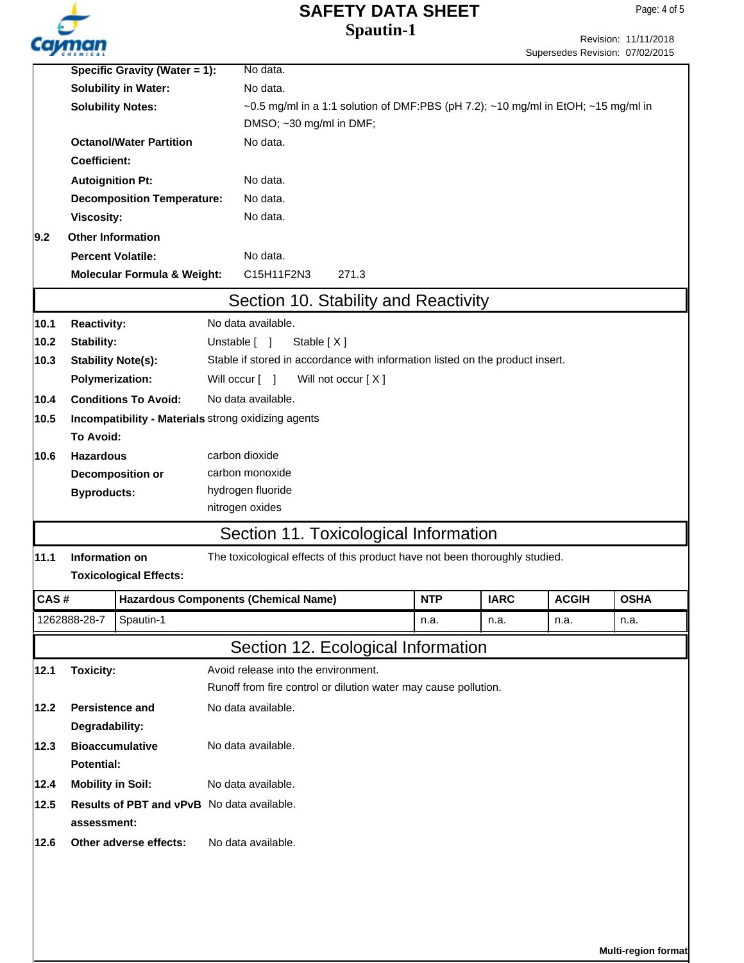Page: 4 of 5

|                                                                 | Specific Gravity (Water = 1):                |                                                     |  | No data.                                                                          |            |             |              |             |  |  |
|-----------------------------------------------------------------|----------------------------------------------|-----------------------------------------------------|--|-----------------------------------------------------------------------------------|------------|-------------|--------------|-------------|--|--|
|                                                                 | <b>Solubility in Water:</b>                  |                                                     |  | No data.                                                                          |            |             |              |             |  |  |
|                                                                 | <b>Solubility Notes:</b>                     |                                                     |  | ~0.5 mg/ml in a 1:1 solution of DMF:PBS (pH 7.2); ~10 mg/ml in EtOH; ~15 mg/ml in |            |             |              |             |  |  |
|                                                                 |                                              |                                                     |  | DMSO; ~30 mg/ml in DMF;                                                           |            |             |              |             |  |  |
|                                                                 | <b>Octanol/Water Partition</b>               |                                                     |  | No data.                                                                          |            |             |              |             |  |  |
|                                                                 | <b>Coefficient:</b>                          |                                                     |  |                                                                                   |            |             |              |             |  |  |
|                                                                 | <b>Autoignition Pt:</b>                      |                                                     |  | No data.                                                                          |            |             |              |             |  |  |
|                                                                 |                                              | <b>Decomposition Temperature:</b>                   |  | No data.                                                                          |            |             |              |             |  |  |
|                                                                 | <b>Viscosity:</b>                            |                                                     |  | No data.                                                                          |            |             |              |             |  |  |
| 9.2                                                             | <b>Other Information</b>                     |                                                     |  |                                                                                   |            |             |              |             |  |  |
|                                                                 | <b>Percent Volatile:</b>                     |                                                     |  | No data.                                                                          |            |             |              |             |  |  |
|                                                                 | <b>Molecular Formula &amp; Weight:</b>       |                                                     |  | C15H11F2N3<br>271.3                                                               |            |             |              |             |  |  |
|                                                                 |                                              |                                                     |  | Section 10. Stability and Reactivity                                              |            |             |              |             |  |  |
| 10.1                                                            | <b>Reactivity:</b>                           |                                                     |  | No data available.                                                                |            |             |              |             |  |  |
| 10.2                                                            | <b>Stability:</b>                            |                                                     |  | Unstable [ ]<br>Stable [X]                                                        |            |             |              |             |  |  |
| 10.3                                                            | <b>Stability Note(s):</b>                    |                                                     |  | Stable if stored in accordance with information listed on the product insert.     |            |             |              |             |  |  |
|                                                                 | Polymerization:                              |                                                     |  | Will occur [ ]<br>Will not occur [X]                                              |            |             |              |             |  |  |
| 10.4                                                            |                                              | <b>Conditions To Avoid:</b>                         |  | No data available.                                                                |            |             |              |             |  |  |
| 10.5                                                            |                                              | Incompatibility - Materials strong oxidizing agents |  |                                                                                   |            |             |              |             |  |  |
|                                                                 | <b>To Avoid:</b>                             |                                                     |  |                                                                                   |            |             |              |             |  |  |
| 10.6                                                            | <b>Hazardous</b>                             |                                                     |  | carbon dioxide                                                                    |            |             |              |             |  |  |
|                                                                 |                                              | <b>Decomposition or</b>                             |  | carbon monoxide                                                                   |            |             |              |             |  |  |
|                                                                 | <b>Byproducts:</b>                           |                                                     |  | hydrogen fluoride                                                                 |            |             |              |             |  |  |
|                                                                 |                                              |                                                     |  | nitrogen oxides                                                                   |            |             |              |             |  |  |
|                                                                 |                                              |                                                     |  | Section 11. Toxicological Information                                             |            |             |              |             |  |  |
|                                                                 |                                              |                                                     |  |                                                                                   |            |             |              |             |  |  |
| 11.1                                                            | Information on                               |                                                     |  | The toxicological effects of this product have not been thoroughly studied.       |            |             |              |             |  |  |
|                                                                 |                                              | <b>Toxicological Effects:</b>                       |  |                                                                                   |            |             |              |             |  |  |
| CAS#                                                            |                                              |                                                     |  | <b>Hazardous Components (Chemical Name)</b>                                       | <b>NTP</b> | <b>IARC</b> | <b>ACGIH</b> | <b>OSHA</b> |  |  |
|                                                                 | 1262888-28-7                                 | Spautin-1                                           |  |                                                                                   | n.a.       | n.a.        | n.a.         | n.a.        |  |  |
|                                                                 |                                              |                                                     |  | Section 12. Ecological Information                                                |            |             |              |             |  |  |
| 12.1                                                            | <b>Toxicity:</b>                             |                                                     |  | Avoid release into the environment.                                               |            |             |              |             |  |  |
| Runoff from fire control or dilution water may cause pollution. |                                              |                                                     |  |                                                                                   |            |             |              |             |  |  |
| <b>Persistence and</b><br>No data available.<br>12.2            |                                              |                                                     |  |                                                                                   |            |             |              |             |  |  |
|                                                                 | Degradability:                               |                                                     |  |                                                                                   |            |             |              |             |  |  |
| 12.3                                                            | <b>Bioaccumulative</b><br>No data available. |                                                     |  |                                                                                   |            |             |              |             |  |  |
|                                                                 | <b>Potential:</b>                            |                                                     |  |                                                                                   |            |             |              |             |  |  |
| 12.4                                                            | <b>Mobility in Soil:</b>                     |                                                     |  | No data available.                                                                |            |             |              |             |  |  |
| 12.5                                                            | Results of PBT and vPvB No data available.   |                                                     |  |                                                                                   |            |             |              |             |  |  |
|                                                                 | assessment:                                  |                                                     |  |                                                                                   |            |             |              |             |  |  |
| 12.6                                                            | Other adverse effects:                       |                                                     |  | No data available.                                                                |            |             |              |             |  |  |
|                                                                 |                                              |                                                     |  |                                                                                   |            |             |              |             |  |  |
|                                                                 |                                              |                                                     |  |                                                                                   |            |             |              |             |  |  |
|                                                                 |                                              |                                                     |  |                                                                                   |            |             |              |             |  |  |
|                                                                 |                                              |                                                     |  |                                                                                   |            |             |              |             |  |  |